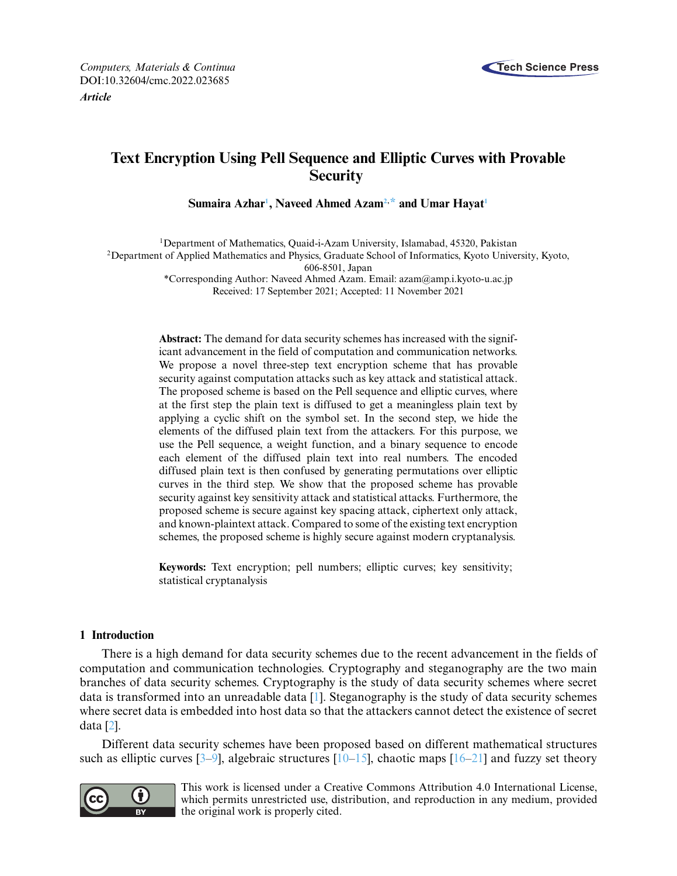

# **Text Encryption Using Pell Sequence and Elliptic Curves with Provable Security**

**Sumaira Azha[r1](#page-0-0) , Naveed Ahmed Aza[m2,](#page-0-1) [\\*](#page-0-2) and Umar Haya[t1](#page-0-0)**

<span id="page-0-1"></span><sup>1</sup>Department of Mathematics, Quaid-i-Azam University, Islamabad, 45320, Pakistan <sup>2</sup>Department of Applied Mathematics and Physics, Graduate School of Informatics, Kyoto University, Kyoto, 606-8501, Japan \*Corresponding Author: Naveed Ahmed Azam. Email: [azam@amp.i.kyoto-u.ac.jp](mailto:azam@amp.i.kyoto-u.ac.jp)

<span id="page-0-2"></span><span id="page-0-0"></span>Received: 17 September 2021; Accepted: 11 November 2021

**Abstract:** The demand for data security schemes has increased with the significant advancement in the field of computation and communication networks. We propose a novel three-step text encryption scheme that has provable security against computation attacks such as key attack and statistical attack. The proposed scheme is based on the Pell sequence and elliptic curves, where at the first step the plain text is diffused to get a meaningless plain text by applying a cyclic shift on the symbol set. In the second step, we hide the elements of the diffused plain text from the attackers. For this purpose, we use the Pell sequence, a weight function, and a binary sequence to encode each element of the diffused plain text into real numbers. The encoded diffused plain text is then confused by generating permutations over elliptic curves in the third step. We show that the proposed scheme has provable security against key sensitivity attack and statistical attacks. Furthermore, the proposed scheme is secure against key spacing attack, ciphertext only attack, and known-plaintext attack. Compared to some of the existing text encryption schemes, the proposed scheme is highly secure against modern cryptanalysis.

**Keywords:** Text encryption; pell numbers; elliptic curves; key sensitivity; statistical cryptanalysis

### **1 Introduction**

There is a high demand for data security schemes due to the recent advancement in the fields of computation and communication technologies. Cryptography and steganography are the two main branches of data security schemes. Cryptography is the study of data security schemes where secret data is transformed into an unreadable data [\[1\]](#page-14-0). Steganography is the study of data security schemes where secret data is embedded into host data so that the attackers cannot detect the existence of secret data [\[2\]](#page-14-1).

Different data security schemes have been proposed based on different mathematical structures such as elliptic curves  $[3-9]$  $[3-9]$ , algebraic structures  $[10-15]$  $[10-15]$ , chaotic maps  $[16-21]$  $[16-21]$  and fuzzy set theory



This work is licensed under a Creative Commons Attribution 4.0 International License, which permits unrestricted use, distribution, and reproduction in any medium, provided the original work is properly cited.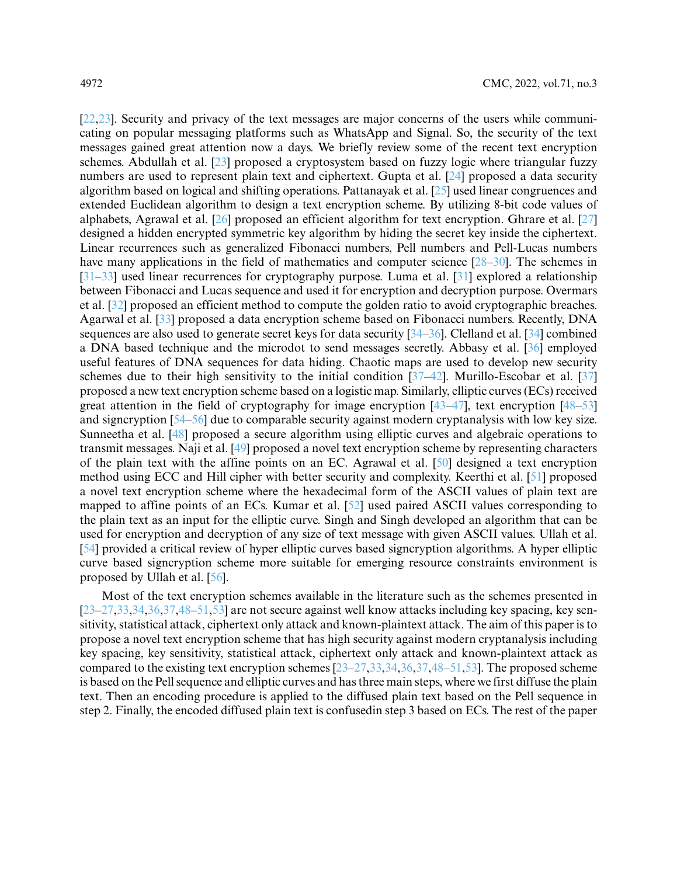[\[22](#page-15-3)[,23\]](#page-15-4). Security and privacy of the text messages are major concerns of the users while communicating on popular messaging platforms such as WhatsApp and Signal. So, the security of the text messages gained great attention now a days. We briefly review some of the recent text encryption schemes. Abdullah et al. [\[23\]](#page-15-4) proposed a cryptosystem based on fuzzy logic where triangular fuzzy numbers are used to represent plain text and ciphertext. Gupta et al. [\[24\]](#page-15-5) proposed a data security algorithm based on logical and shifting operations. Pattanayak et al. [\[25\]](#page-15-6) used linear congruences and extended Euclidean algorithm to design a text encryption scheme. By utilizing 8-bit code values of alphabets, Agrawal et al. [\[26\]](#page-15-7) proposed an efficient algorithm for text encryption. Ghrare et al. [\[27\]](#page-15-8) designed a hidden encrypted symmetric key algorithm by hiding the secret key inside the ciphertext. Linear recurrences such as generalized Fibonacci numbers, Pell numbers and Pell-Lucas numbers have many applications in the field of mathematics and computer science [\[28–](#page-15-9)[30\]](#page-15-10). The schemes in [\[31–](#page-15-11)[33\]](#page-15-12) used linear recurrences for cryptography purpose. Luma et al. [\[31\]](#page-15-11) explored a relationship between Fibonacci and Lucas sequence and used it for encryption and decryption purpose. Overmars et al. [\[32\]](#page-15-13) proposed an efficient method to compute the golden ratio to avoid cryptographic breaches. Agarwal et al. [\[33\]](#page-15-12) proposed a data encryption scheme based on Fibonacci numbers. Recently, DNA sequences are also used to generate secret keys for data security [\[34](#page-16-0)[–36\]](#page-16-1). Clelland et al. [\[34\]](#page-16-0) combined a DNA based technique and the microdot to send messages secretly. Abbasy et al. [\[36\]](#page-16-1) employed useful features of DNA sequences for data hiding. Chaotic maps are used to develop new security schemes due to their high sensitivity to the initial condition [\[37](#page-16-2)[–42\]](#page-16-3). Murillo-Escobar et al. [\[37\]](#page-16-2) proposed a new text encryption scheme based on a logistic map. Similarly, elliptic curves (ECs) received great attention in the field of cryptography for image encryption [\[43–](#page-16-4)[47\]](#page-16-5), text encryption [\[48](#page-16-6)[–53\]](#page-16-7) and signcryption [\[54](#page-16-8)[–56\]](#page-17-0) due to comparable security against modern cryptanalysis with low key size. Sunneetha et al. [\[48\]](#page-16-6) proposed a secure algorithm using elliptic curves and algebraic operations to transmit messages. Naji et al. [\[49\]](#page-16-9) proposed a novel text encryption scheme by representing characters of the plain text with the affine points on an EC. Agrawal et al. [\[50\]](#page-16-10) designed a text encryption method using ECC and Hill cipher with better security and complexity. Keerthi et al. [\[51\]](#page-16-11) proposed a novel text encryption scheme where the hexadecimal form of the ASCII values of plain text are mapped to affine points of an ECs. Kumar et al. [\[52\]](#page-16-12) used paired ASCII values corresponding to the plain text as an input for the elliptic curve. Singh and Singh developed an algorithm that can be used for encryption and decryption of any size of text message with given ASCII values. Ullah et al. [\[54\]](#page-16-8) provided a critical review of hyper elliptic curves based signcryption algorithms. A hyper elliptic curve based signcryption scheme more suitable for emerging resource constraints environment is proposed by Ullah et al. [\[56\]](#page-17-0).

Most of the text encryption schemes available in the literature such as the schemes presented in [\[23–](#page-15-4)[27,](#page-15-8)[33,](#page-15-12)[34,](#page-16-0)[36,](#page-16-1)[37,](#page-16-2)[48–](#page-16-6)[51](#page-16-11)[,53\]](#page-16-7) are not secure against well know attacks including key spacing, key sensitivity, statistical attack, ciphertext only attack and known-plaintext attack. The aim of this paper is to propose a novel text encryption scheme that has high security against modern cryptanalysis including key spacing, key sensitivity, statistical attack, ciphertext only attack and known-plaintext attack as compared to the existing text encryption schemes [\[23–](#page-15-4)[27](#page-15-8)[,33](#page-15-12)[,34](#page-16-0)[,36](#page-16-1)[,37](#page-16-2)[,48–](#page-16-6)[51,](#page-16-11)[53\]](#page-16-7). The proposed scheme is based on the Pell sequence and elliptic curves and has three main steps, where we first diffuse the plain text. Then an encoding procedure is applied to the diffused plain text based on the Pell sequence in step 2. Finally, the encoded diffused plain text is confusedin step 3 based on ECs. The rest of the paper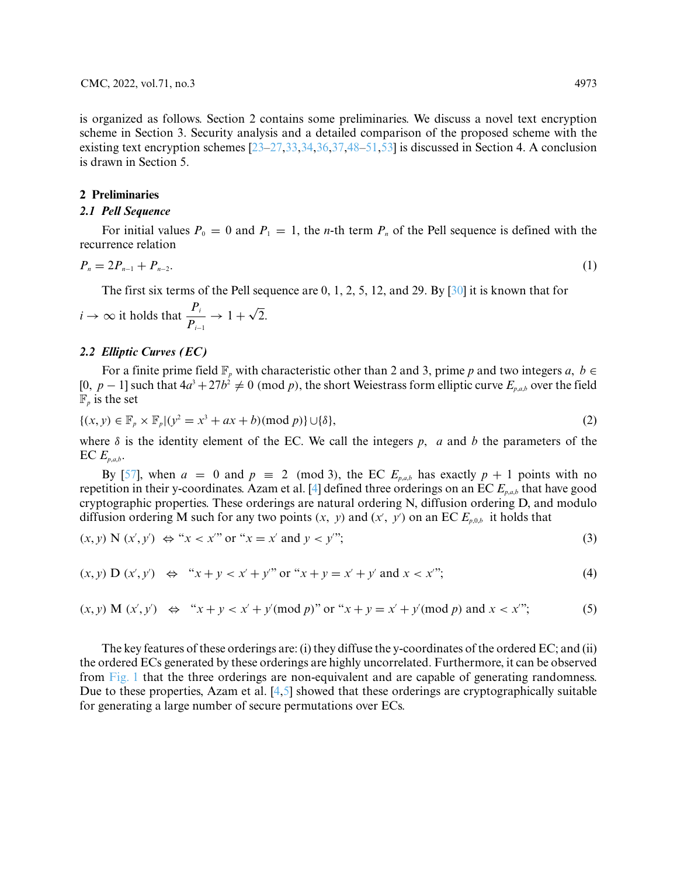is organized as follows. Section 2 contains some preliminaries. We discuss a novel text encryption scheme in Section 3. Security analysis and a detailed comparison of the proposed scheme with the existing text encryption schemes  $[23-27,33,34,36,37,48-51,53]$  $[23-27,33,34,36,37,48-51,53]$  $[23-27,33,34,36,37,48-51,53]$  $[23-27,33,34,36,37,48-51,53]$  $[23-27,33,34,36,37,48-51,53]$  $[23-27,33,34,36,37,48-51,53]$  $[23-27,33,34,36,37,48-51,53]$  $[23-27,33,34,36,37,48-51,53]$  $[23-27,33,34,36,37,48-51,53]$  is discussed in Section 4. A conclusion is drawn in Section 5.

### **2 Preliminaries**

### *2.1 Pell Sequence*

For initial values  $P_0 = 0$  and  $P_1 = 1$ , the *n*-th term  $P_n$  of the Pell sequence is defined with the recurrence relation

$$
P_n = 2P_{n-1} + P_{n-2}.\tag{1}
$$

The first six terms of the Pell sequence are 0, 1, 2, 5, 12, and 29. By [\[30\]](#page-15-10) it is known that for

$$
i \to \infty
$$
 it holds that  $\frac{P_i}{P_{i-1}} \to 1 + \sqrt{2}$ .

### *2.2 Elliptic Curves (EC)*

For a finite prime field  $\mathbb{F}_p$  with characteristic other than 2 and 3, prime p and two integers  $a, b \in \mathbb{F}_p$ [0, *p* − 1] such that  $4a^3 + 27b^2 \neq 0$  (mod *p*), the short Weiestrass form elliptic curve  $E_{p,a,b}$  over the field  $\mathbb{F}_p$  is the set

$$
\{(x, y) \in \mathbb{F}_p \times \mathbb{F}_p | (y^2 = x^3 + ax + b)(\text{mod } p) \} \cup \{\delta\},\tag{2}
$$

where  $\delta$  is the identity element of the EC. We call the integers p, a and b the parameters of the  $\text{EC } E_{p,a,b}.$ 

By [\[57\]](#page-17-1), when  $a = 0$  and  $p \equiv 2 \pmod{3}$ , the EC  $E_{p,a,b}$  has exactly  $p + 1$  points with no repetition in their y-coordinates. Azam et al. [\[4\]](#page-14-5) defined three orderings on an EC *Ep*,*a*,*<sup>b</sup>* that have good cryptographic properties. These orderings are natural ordering N, diffusion ordering D, and modulo diffusion ordering M such for any two points  $(x, y)$  and  $(x', y')$  on an EC  $E_{p,0,b}$  it holds that

$$
(x, y) \mathbf{N} (x', y') \Leftrightarrow "x < x'' \text{ or } "x = x' \text{ and } y < y''';
$$
\n
$$
(3)
$$

$$
(x, y) D (x', y') \Leftrightarrow "x + y < x' + y" or "x + y = x' + y' and x < x"';
$$
 (4)

$$
(x, y) M (x', y') \Leftrightarrow "x + y < x' + y' (mod p)" or "x + y = x' + y' (mod p) and x < x"';
$$
 (5)

The key features of these orderings are: (i) they diffuse the y-coordinates of the ordered EC; and (ii) the ordered ECs generated by these orderings are highly uncorrelated. Furthermore, it can be observed from [Fig. 1](#page-3-0) that the three orderings are non-equivalent and are capable of generating randomness. Due to these properties, Azam et al. [\[4](#page-14-5)[,5\]](#page-14-6) showed that these orderings are cryptographically suitable for generating a large number of secure permutations over ECs.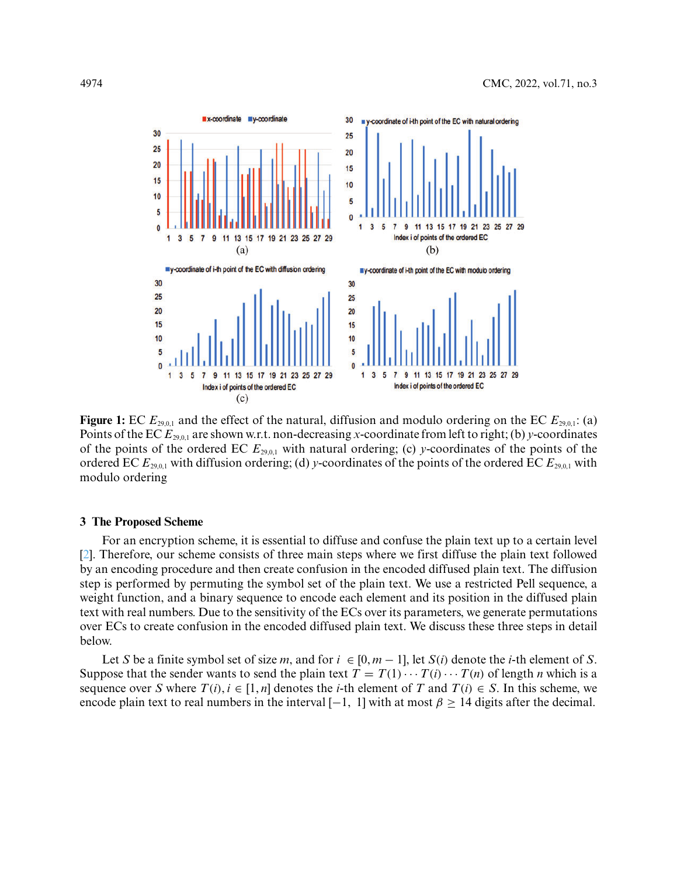

<span id="page-3-0"></span>**Figure 1:** EC  $E_{29,0,1}$  and the effect of the natural, diffusion and modulo ordering on the EC  $E_{29,0,1}$ : (a) Points of the EC  $E_{29,0,1}$  are shown w.r.t. non-decreasing *x*-coordinate from left to right; (b) *y*-coordinates of the points of the ordered EC  $E_{29,0,1}$  with natural ordering; (c) *y*-coordinates of the points of the ordered EC  $E_{29,0,1}$  with diffusion ordering; (d) *y*-coordinates of the points of the ordered EC  $E_{29,0,1}$  with modulo ordering

### **3 The Proposed Scheme**

For an encryption scheme, it is essential to diffuse and confuse the plain text up to a certain level [\[2\]](#page-14-1). Therefore, our scheme consists of three main steps where we first diffuse the plain text followed by an encoding procedure and then create confusion in the encoded diffused plain text. The diffusion step is performed by permuting the symbol set of the plain text. We use a restricted Pell sequence, a weight function, and a binary sequence to encode each element and its position in the diffused plain text with real numbers. Due to the sensitivity of the ECs over its parameters, we generate permutations over ECs to create confusion in the encoded diffused plain text. We discuss these three steps in detail below.

Let *S* be a finite symbol set of size *m*, and for  $i \in [0, m - 1]$ , let  $S(i)$  denote the *i*-th element of *S*. Suppose that the sender wants to send the plain text  $T = T(1) \cdots T(i) \cdots T(n)$  of length *n* which is a sequence over *S* where  $T(i)$ ,  $i \in [1, n]$  denotes the *i*-th element of *T* and  $T(i) \in S$ . In this scheme, we encode plain text to real numbers in the interval  $[-1, 1]$  with at most  $\beta \ge 14$  digits after the decimal.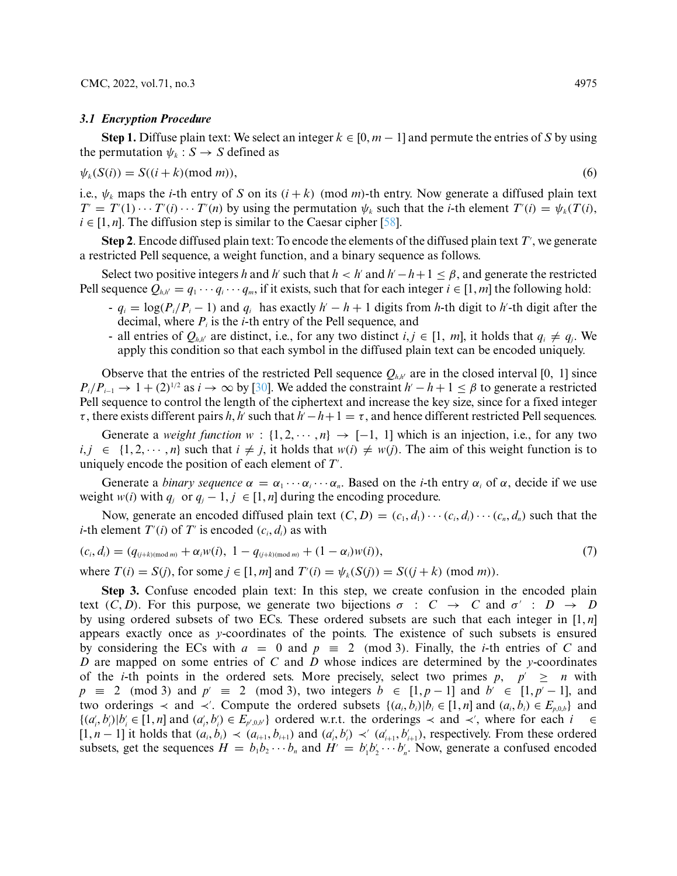#### *3.1 Encryption Procedure*

**Step 1.** Diffuse plain text: We select an integer  $k \in [0, m - 1]$  and permute the entries of *S* by using the permutation  $\psi_k$  :  $S \to S$  defined as

$$
\psi_k(S(i)) = S((i+k)(\text{mod } m)),\tag{6}
$$

i.e.,  $\psi_k$  maps the *i*-th entry of *S* on its  $(i + k)$  (mod *m*)-th entry. Now generate a diffused plain text  $T' = T'(1) \cdots T'(i) \cdots T'(n)$  by using the permutation  $\psi_k$  such that the *i*-th element  $T'(i) = \psi_k(T(i))$ ,  $i \in [1, n]$ . The diffusion step is similar to the Caesar cipher [\[58\]](#page-17-2).

 ${\bf Step~2.}$  Encode diffused plain text: To encode the elements of the diffused plain text  $T^{\prime},$  we generate a restricted Pell sequence, a weight function, and a binary sequence as follows.

Select two positive integers *h* and *h*<sup>*'*</sup> such that  $h < h'$  and  $h' - h + 1 \leq \beta$ , and generate the restricted Pell sequence  $Q_{h,h'} = q_1 \cdots q_i \cdots q_m$ , if it exists, such that for each integer  $i \in [1,m]$  the following hold:

- $q_i = \log(P_i/P_i 1)$  and  $q_i$  has exactly  $h' h + 1$  digits from *h*-th digit to *h*'-th digit after the decimal, where  $P_i$  is the *i*-th entry of the Pell sequence, and
- all entries of  $Q_{h,h'}$  are distinct, i.e., for any two distinct  $i, j \in [1, m]$ , it holds that  $q_i \neq q_j$ . We apply this condition so that each symbol in the diffused plain text can be encoded uniquely.

Observe that the entries of the restricted Pell sequence  $Q_{h,h'}$  are in the closed interval [0, 1] since  $P_i/P_{i-1} \rightarrow 1 + (2)^{1/2}$  as  $i \rightarrow \infty$  by [\[30\]](#page-15-10). We added the constraint  $h\prime - h + 1 \leq \beta$  to generate a restricted Pell sequence to control the length of the ciphertext and increase the key size, since for a fixed integer  $\tau$ , there exists different pairs *h*, *h*<sup>*'*</sup> such that  $h' - h + 1 = \tau$ , and hence different restricted Pell sequences.

Generate a *weight function*  $w : \{1, 2, \dots, n\} \rightarrow [-1, 1]$  which is an injection, i.e., for any two  $i, j \in \{1, 2, \dots, n\}$  such that  $i \neq j$ , it holds that  $w(i) \neq w(j)$ . The aim of this weight function is to uniquely encode the position of each element of *T*<sup>'</sup>.

Generate a *binary sequence*  $\alpha = \alpha_1 \cdots \alpha_i \cdots \alpha_n$ . Based on the *i*-th entry  $\alpha_i$  of  $\alpha$ , decide if we use weight *w*(*i*) with  $q_i$  or  $q_j - 1$ ,  $j \in [1, n]$  during the encoding procedure.

Now, generate an encoded diffused plain text  $(C, D) = (c_1, d_1) \cdots (c_i, d_i) \cdots (c_n, d_n)$  such that the *i*-th element  $T'(i)$  of  $T'$  is encoded  $(c_i, d_i)$  as with

<span id="page-4-0"></span>
$$
(c_i, d_i) = (q_{(j+k)(\text{mod } m)} + \alpha_i w(i), \ 1 - q_{(j+k)(\text{mod } m)} + (1 - \alpha_i) w(i)), \tag{7}
$$

where  $T(i) = S(j)$ , for some  $j \in [1, m]$  and  $T'(i) = \psi_k(S(j)) = S((j + k) \pmod{m})$ .

**Step 3.** Confuse encoded plain text: In this step, we create confusion in the encoded plain text  $(C, D)$ . For this purpose, we generate two bijections  $\sigma : C \rightarrow C$  and  $\sigma' : D \rightarrow D$ by using ordered subsets of two ECs. These ordered subsets are such that each integer in [1, *n*] appears exactly once as *y*-coordinates of the points. The existence of such subsets is ensured by considering the ECs with  $a = 0$  and  $p \equiv 2 \pmod{3}$ . Finally, the *i*-th entries of *C* and *D* are mapped on some entries of *C* and *D* whose indices are determined by the *y*-coordinates of the *i*-th points in the ordered sets. More precisely, select two primes  $p, p' \ge n$  with  $p \equiv 2 \pmod{3}$  and  $p' \equiv 2 \pmod{3}$ , two integers  $b \in [1, p-1]$  and  $b' \in [1, p'-1]$ , and two orderings  $\prec$  and  $\prec'$ . Compute the ordered subsets  $\{(a_i, b_i) | b_i \in [1, n] \text{ and } (a_i, b_i) \in E_{p,0,b}\}\$  and  $\{(a'_i,b'_i)|b'_i\in[1,n] \text{ and } (a'_i,b'_i)\in E_{p',0,b'}\}$  ordered w.r.t. the orderings  $\prec$  and  $\prec'$ , where for each  $i \in$  $[1, n-1]$  it holds that  $(a_i, b_i) \prec (a_{i+1}, b_{i+1})$  and  $(a'_i, b'_i) \prec (a'_{i+1}, b'_{i+1})$ , respectively. From these ordered subsets, get the sequences  $H = b_1 b_2 \cdots b_n$  and  $H' = b'_1 b'_2 \cdots b'_n$ . Now, generate a confused encoded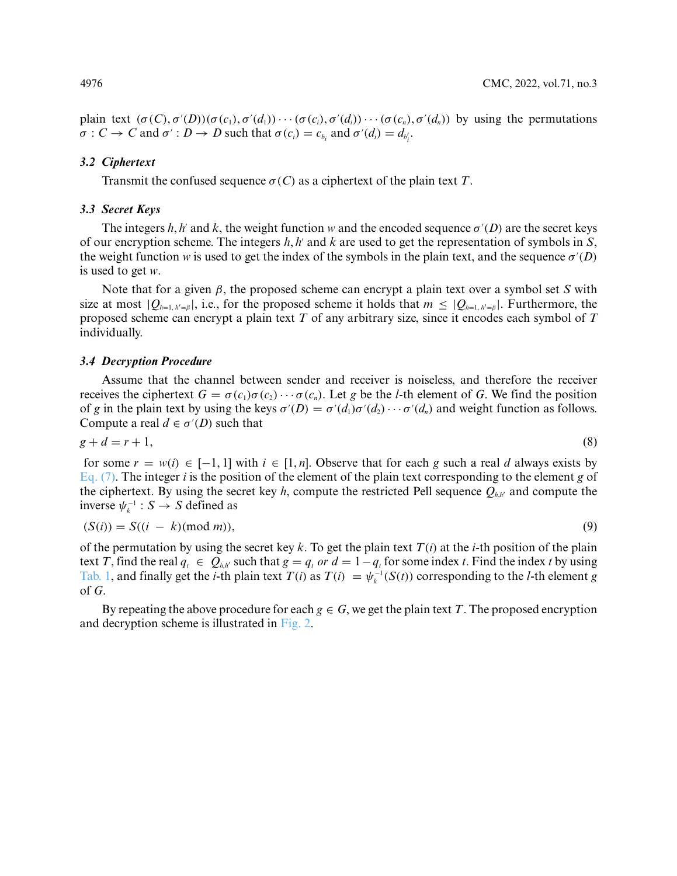plain text  $(\sigma(C), \sigma'(D))(\sigma(c_1), \sigma'(d_1)) \cdots (\sigma(c_i), \sigma'(d_i)) \cdots (\sigma(c_n), \sigma'(d_n))$  by using the permutations  $\sigma: C \to C$  and  $\sigma': D \to D$  such that  $\sigma(c_i) = c_{b_i}$  and  $\sigma'(d_i) = d_{b'_i}$ .

### *3.2 Ciphertext*

Transmit the confused sequence  $\sigma(C)$  as a ciphertext of the plain text *T*.

### *3.3 Secret Keys*

The integers *h*, *h*<sup> $\prime$ </sup> and *k*, the weight function *w* and the encoded sequence  $\sigma'(D)$  are the secret keys of our encryption scheme. The integers  $h$ ,  $h'$  and  $k$  are used to get the representation of symbols in  $S$ , the weight function *w* is used to get the index of the symbols in the plain text, and the sequence  $\sigma'(D)$ is used to get *w*.

Note that for a given *β*, the proposed scheme can encrypt a plain text over a symbol set *S* with size at most  $|Q_{h=1, h'=β}|$ , i.e., for the proposed scheme it holds that  $m \leq |Q_{h=1, h'=β}|$ . Furthermore, the proposed scheme can encrypt a plain text *T* of any arbitrary size, since it encodes each symbol of *T* individually.

### *3.4 Decryption Procedure*

Assume that the channel between sender and receiver is noiseless, and therefore the receiver receives the ciphertext *G* =  $\sigma$ (*c<sub>1</sub>*) $\sigma$ (*c<sub>2</sub>*) $\cdots$  *σ*(*c<sub>n</sub>*). Let *g* be the *l*-th element of *G*. We find the position of *g* in the plain text by using the keys  $\sigma'(D) = \sigma'(d_1)\sigma'(d_2)\cdots \sigma'(d_n)$  and weight function as follows. Compute a real  $d \in \sigma'(D)$  such that

<span id="page-5-0"></span>
$$
g + d = r + 1,\tag{8}
$$

for some  $r = w(i) \in [-1, 1]$  with  $i \in [1, n]$ . Observe that for each *g* such a real *d* always exists by [Eq. \(7\).](#page-4-0) The integer *i* is the position of the element of the plain text corresponding to the element *g* of the ciphertext. By using the secret key  $h$ , compute the restricted Pell sequence  $Q_{h,h'}$  and compute the inverse  $\psi_k^{-1}: S \to S$  defined as

$$
(S(i)) = S((i - k)(\text{mod } m)),\tag{9}
$$

of the permutation by using the secret key  $k$ . To get the plain text  $T(i)$  at the *i*-th position of the plain text *T*, find the real  $q_t \in Q_{h,h'}$  such that  $g = q_t$  *or*  $d = 1 - q_t$  for some index *t*. Find the index *t* by using [Tab. 1,](#page-7-0) and finally get the *i*-th plain text  $T(i)$  as  $T(i) = \psi_k^{-1}(S(i))$  corresponding to the *l*-th element g of *G*.

By repeating the above procedure for each  $g \in G$ , we get the plain text *T*. The proposed encryption and decryption scheme is illustrated in [Fig. 2.](#page-6-0)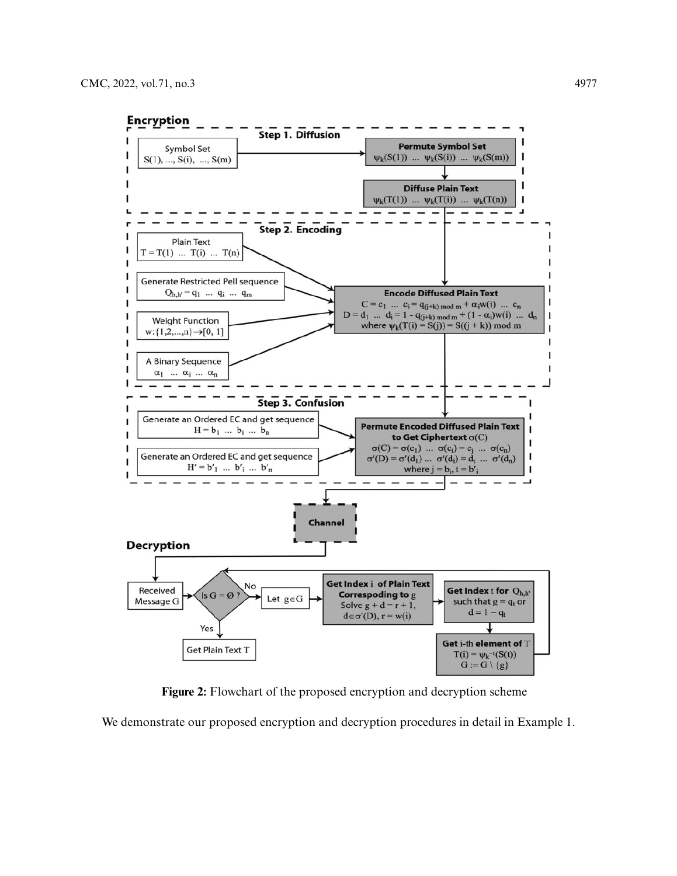

**Figure 2:** Flowchart of the proposed encryption and decryption scheme

<span id="page-6-0"></span>We demonstrate our proposed encryption and decryption procedures in detail in Example 1.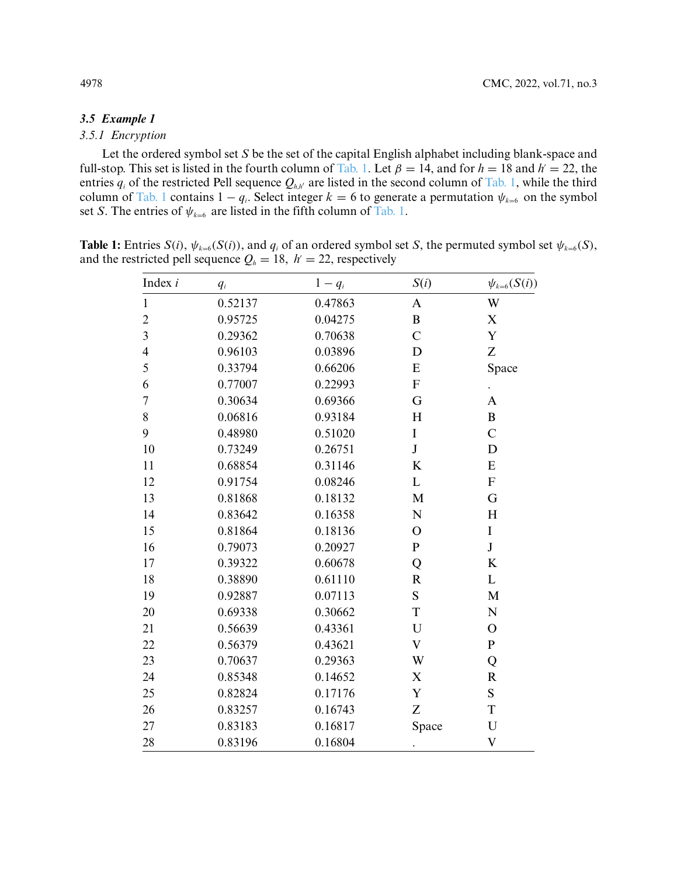### *3.5 Example 1*

## *3.5.1 Encryption*

Let the ordered symbol set *S* be the set of the capital English alphabet including blank-space and full-stop. This set is listed in the fourth column of [Tab. 1.](#page-7-0) Let  $\beta = 14$ , and for  $h = 18$  and  $h' = 22$ , the entries  $q_i$  of the restricted Pell sequence  $Q_{h,h'}$  are listed in the second column of [Tab. 1,](#page-7-0) while the third column of [Tab. 1](#page-7-0) contains  $1 - q_i$ . Select integer  $k = 6$  to generate a permutation  $\psi_{k=6}$  on the symbol set *S*. The entries of  $\psi_{k=6}$  are listed in the fifth column of [Tab. 1.](#page-7-0)

<span id="page-7-0"></span>**Table 1:** Entries  $S(i)$ ,  $\psi_{k=6}(S(i))$ , and  $q_i$  of an ordered symbol set S, the permuted symbol set  $\psi_{k=6}(S)$ , and the restricted pell sequence  $Q_h = 18$ ,  $h' = 22$ , respectively

| Index $i$               | $q_i$   | $1-q_i$ | S(i)                      | $\psi_{k=6}(S(i))$        |
|-------------------------|---------|---------|---------------------------|---------------------------|
| $\mathbf{1}$            | 0.52137 | 0.47863 | $\mathbf{A}$              | W                         |
| $\overline{c}$          | 0.95725 | 0.04275 | $\, {\bf B}$              | $\mathbf X$               |
| $\overline{\mathbf{3}}$ | 0.29362 | 0.70638 | $\mathbf C$               | $\mathbf Y$               |
| $\overline{\mathbf{4}}$ | 0.96103 | 0.03896 | D                         | Z                         |
| 5                       | 0.33794 | 0.66206 | E                         | Space                     |
| 6                       | 0.77007 | 0.22993 | $\boldsymbol{\mathrm{F}}$ |                           |
| $\boldsymbol{7}$        | 0.30634 | 0.69366 | G                         | A                         |
| 8                       | 0.06816 | 0.93184 | H                         | $\bf{B}$                  |
| 9                       | 0.48980 | 0.51020 | $\bf I$                   | $\mathcal{C}$             |
| 10                      | 0.73249 | 0.26751 | $\bf J$                   | D                         |
| 11                      | 0.68854 | 0.31146 | $\bf K$                   | E                         |
| 12                      | 0.91754 | 0.08246 | $\mathbf L$               | ${\bf F}$                 |
| 13                      | 0.81868 | 0.18132 | $\mathbf M$               | G                         |
| 14                      | 0.83642 | 0.16358 | ${\bf N}$                 | H                         |
| 15                      | 0.81864 | 0.18136 | $\mathbf O$               | $\bf I$                   |
| 16                      | 0.79073 | 0.20927 | ${\bf P}$                 | $\bf J$                   |
| 17                      | 0.39322 | 0.60678 | Q                         | K                         |
| 18                      | 0.38890 | 0.61110 | $\mathbf R$               | L                         |
| 19                      | 0.92887 | 0.07113 | ${\bf S}$                 | $\mathbf{M}$              |
| 20                      | 0.69338 | 0.30662 | $\mathbf T$               | ${\bf N}$                 |
| 21                      | 0.56639 | 0.43361 | U                         | $\mathbf O$               |
| 22                      | 0.56379 | 0.43621 | $\mathbf V$               | ${\bf P}$                 |
| 23                      | 0.70637 | 0.29363 | W                         | Q                         |
| 24                      | 0.85348 | 0.14652 | $\boldsymbol{\mathrm{X}}$ | $\mathbf R$               |
| 25                      | 0.82824 | 0.17176 | Y                         | ${\bf S}$                 |
| 26                      | 0.83257 | 0.16743 | Z                         | T                         |
| 27                      | 0.83183 | 0.16817 | Space                     | ${\bf U}$                 |
| 28                      | 0.83196 | 0.16804 | $\ddot{\phantom{0}}$      | $\boldsymbol{\mathrm{V}}$ |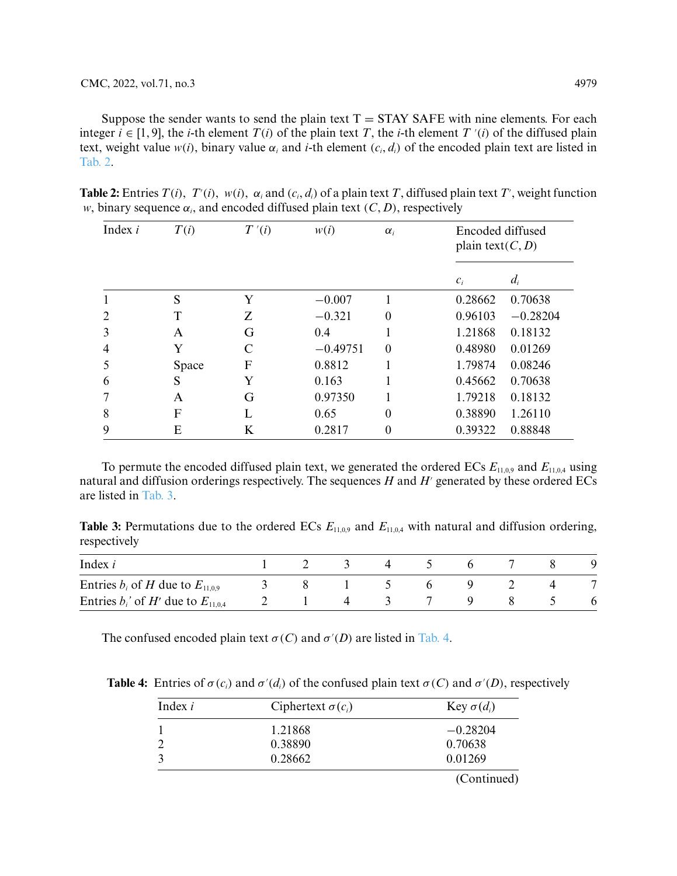Suppose the sender wants to send the plain text  $T = STAY SAFE$  with nine elements. For each integer  $i \in [1, 9]$ , the *i*-th element  $T(i)$  of the plain text  $T$ , the *i*-th element  $T'(i)$  of the diffused plain text, weight value  $w(i)$ , binary value  $\alpha_i$  and *i*-th element  $(c_i, d_i)$  of the encoded plain text are listed in [Tab. 2.](#page-8-0)

| Index $i$ | T(i)  | T'(i) |            | $\alpha_i$ | Encoded diffused<br>plain text( $C, D$ ) |            |
|-----------|-------|-------|------------|------------|------------------------------------------|------------|
|           |       |       |            |            | $c_i$                                    | $d_i$      |
|           | S     | Y     | $-0.007$   |            | 0.28662                                  | 0.70638    |
| 2         | T     | Z     | $-0.321$   | 0          | 0.96103                                  | $-0.28204$ |
| 3         | A     | G     | 0.4        |            | 1.21868                                  | 0.18132    |
| 4         | Y     | C     | $-0.49751$ | $\theta$   | 0.48980                                  | 0.01269    |
| 5         | Space | F     | 0.8812     |            | 1.79874                                  | 0.08246    |
| 6         | S     | Y     | 0.163      |            | 0.45662                                  | 0.70638    |
| 7         | A     | G     | 0.97350    |            | 1.79218                                  | 0.18132    |
| 8         | F     | L     | 0.65       | $\theta$   | 0.38890                                  | 1.26110    |
| 9         | Ε     | K     | 0.2817     | 0          | 0.39322                                  | 0.88848    |

<span id="page-8-0"></span>**Table 2:** Entries  $T(i)$ ,  $T'(i)$ ,  $w(i)$ ,  $\alpha_i$  and  $(c_i, d_i)$  of a plain text T, diffused plain text T', weight function *w*, binary sequence  $\alpha_i$ , and encoded diffused plain text  $(C, D)$ , respectively

To permute the encoded diffused plain text, we generated the ordered ECs  $E_{11,0,9}$  and  $E_{11,0,4}$  using natural and diffusion orderings respectively. The sequences  $H$  and  $H'$  generated by these ordered ECs are listed in [Tab. 3.](#page-8-1)

<span id="page-8-1"></span>**Table 3:** Permutations due to the ordered ECs  $E_{11,0,9}$  and  $E_{11,0,4}$  with natural and diffusion ordering, respectively

| Index $i$                                 |  |  |  |  |  |
|-------------------------------------------|--|--|--|--|--|
| Entries $b_i$ of H due to $E_{11,0,9}$    |  |  |  |  |  |
| Entries $b_i$ ' of H' due to $E_{11,0,4}$ |  |  |  |  |  |

The confused encoded plain text  $\sigma(C)$  and  $\sigma'(D)$  are listed in [Tab. 4.](#page-8-2)

**Table 4:** Entries of  $\sigma(c_i)$  and  $\sigma'(d_i)$  of the confused plain text  $\sigma(C)$  and  $\sigma'(D)$ , respectively

<span id="page-8-2"></span>

| Index $i$ | Ciphertext $\sigma(c_i)$ | Key $\sigma(d_i)$ |
|-----------|--------------------------|-------------------|
|           | 1.21868                  | $-0.28204$        |
|           | 0.38890                  | 0.70638           |
|           | 0.28662                  | 0.01269           |
|           |                          | (Continued)       |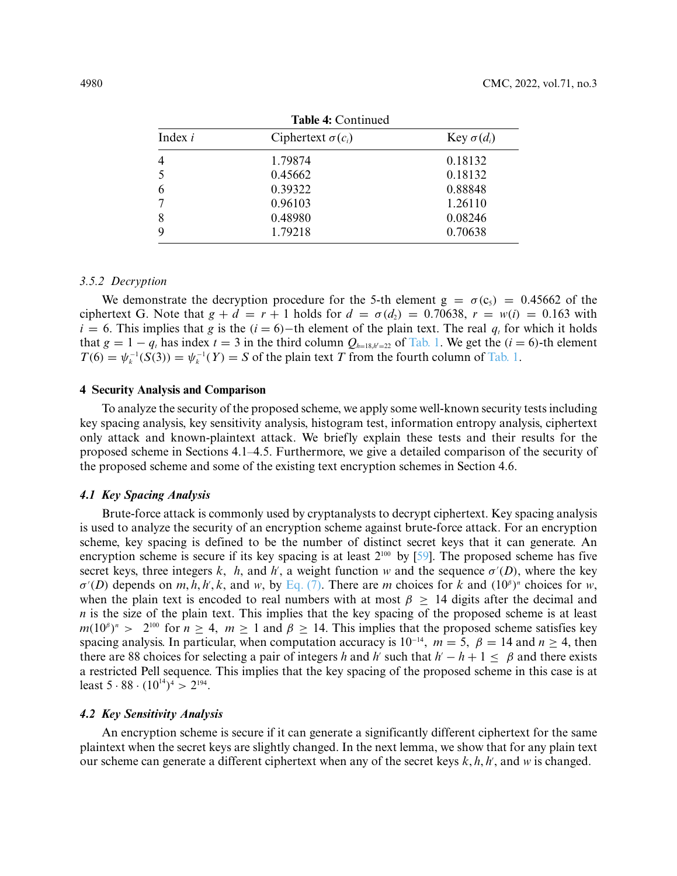| <b>Table 4: Continued</b> |                   |  |  |  |  |
|---------------------------|-------------------|--|--|--|--|
| Ciphertext $\sigma(c_i)$  | Key $\sigma(d_i)$ |  |  |  |  |
| 1.79874                   | 0.18132           |  |  |  |  |
| 0.45662                   | 0.18132           |  |  |  |  |
| 0.39322                   | 0.88848           |  |  |  |  |
| 0.96103                   | 1.26110           |  |  |  |  |
| 0.48980                   | 0.08246           |  |  |  |  |
| 1.79218                   | 0.70638           |  |  |  |  |
|                           |                   |  |  |  |  |

**Table 4:** Continued

### *3.5.2 Decryption*

We demonstrate the decryption procedure for the 5-th element  $g = \sigma(c_5) = 0.45662$  of the ciphertext G. Note that  $g + d = r + 1$  holds for  $d = \sigma(d_2) = 0.70638$ ,  $r = w(i) = 0.163$  with  $i = 6$ . This implies that *g* is the  $(i = 6)$ −th element of the plain text. The real *q<sub>t</sub>* for which it holds that  $g = 1 - q_t$  has index  $t = 3$  in the third column  $Q_{h=18,h'=22}$  of [Tab. 1.](#page-7-0) We get the  $(i = 6)$ -th element  $T(6) = \psi_k^{-1}(S(3)) = \psi_k^{-1}(Y) = S$  of the plain text *T* from the fourth column of [Tab. 1.](#page-7-0)

### **4 Security Analysis and Comparison**

To analyze the security of the proposed scheme, we apply some well-known security tests including key spacing analysis, key sensitivity analysis, histogram test, information entropy analysis, ciphertext only attack and known-plaintext attack. We briefly explain these tests and their results for the proposed scheme in Sections 4.1–4.5. Furthermore, we give a detailed comparison of the security of the proposed scheme and some of the existing text encryption schemes in Section 4.6.

### *4.1 Key Spacing Analysis*

Brute-force attack is commonly used by cryptanalysts to decrypt ciphertext. Key spacing analysis is used to analyze the security of an encryption scheme against brute-force attack. For an encryption scheme, key spacing is defined to be the number of distinct secret keys that it can generate. An encryption scheme is secure if its key spacing is at least  $2^{100}$  by [\[59\]](#page-17-3). The proposed scheme has five secret keys, three integers *k*, *h*, and *h*<sup>'</sup>, a weight function *w* and the sequence  $\sigma'(D)$ , where the key  $\sigma'(D)$  depends on *m*, *h*, *h*', *k*, and *w*, by [Eq. \(7\).](#page-4-0) There are *m* choices for *k* and  $(10^{\beta})^n$  choices for *w*, when the plain text is encoded to real numbers with at most  $\beta \geq 14$  digits after the decimal and *n* is the size of the plain text. This implies that the key spacing of the proposed scheme is at least  $m(10^{\beta})^n$  > 2<sup>100</sup> for *n* > 4, *m* ≥ 1 and  $\beta$  ≥ 14. This implies that the proposed scheme satisfies key spacing analysis. In particular, when computation accuracy is  $10^{-14}$ ,  $m = 5$ ,  $\beta = 14$  and  $n \ge 4$ , then there are 88 choices for selecting a pair of integers *h* and *h*' such that  $h' - h + 1 < \beta$  and there exists a restricted Pell sequence. This implies that the key spacing of the proposed scheme in this case is at least  $5 \cdot 88 \cdot (10^{14})^4 > 2^{194}$ .

### *4.2 Key Sensitivity Analysis*

An encryption scheme is secure if it can generate a significantly different ciphertext for the same plaintext when the secret keys are slightly changed. In the next lemma, we show that for any plain text our scheme can generate a different ciphertext when any of the secret keys  $k, h, h'$ , and  $w$  is changed.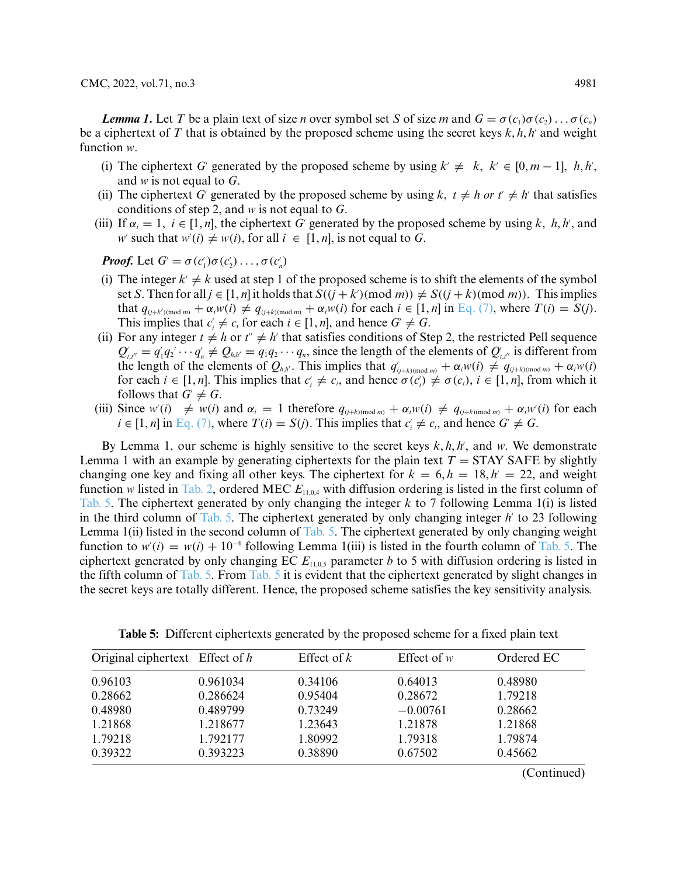*Lemma 1.* **Let** *T* **be a plain text of size** *n* **over symbol set** *S* **of size** *m* **and**  $G = \sigma(c_1)\sigma(c_2) \ldots \sigma(c_n)$ be a ciphertext of *T* that is obtained by the proposed scheme using the secret keys  $k$ ,  $h$ ,  $h'$  and weight function *w*.

- (i) The ciphertext *G*<sup>'</sup> generated by the proposed scheme by using  $k' \neq k$ ,  $k' \in [0, m-1]$ ,  $h, h',$ and *w* is not equal to *G*.
- (ii) The ciphertext *G*<sup>'</sup> generated by the proposed scheme by using *k*,  $t \neq h$  or  $t' \neq h'$  that satisfies conditions of step 2, and *w* is not equal to *G*.
- (iii) If  $\alpha_i = 1$ ,  $i \in [1, n]$ , the ciphertext *G*' generated by the proposed scheme by using *k*, *h*, *h'*, and *w*<sup> $\prime$ </sup> such that  $w'(i) \neq w(i)$ , for all  $i \in [1, n]$ , is not equal to *G*.

*Proof.* Let  $G' = \sigma(c'_1)\sigma(c'_2)\ldots,\sigma(c'_n)$ 

- (i) The integer  $k' \neq k$  used at step 1 of the proposed scheme is to shift the elements of the symbol set *S*. Then for all  $j \in [1, n]$  it holds that  $S((j + k') (\text{mod } m)) \neq S((j + k)(\text{mod } m))$ . This implies that  $q_{(j+k')(mod m)} + \alpha_i w(i) \neq q_{(j+k)(mod m)} + \alpha_i w(i)$  for each  $i \in [1, n]$  in [Eq. \(7\),](#page-4-0) where  $T(i) = S(j)$ . This implies that  $c_i \neq c_i$  for each  $i \in [1, n]$ , and hence  $G' \neq G$ .
- (ii) For any integer  $t \neq h$  or  $t'' \neq h'$  that satisfies conditions of Step 2, the restricted Pell sequence  $Q'_{t,t''} = q'_1 q_2' \cdots q'_n \neq Q_{h,h'} = q_1 q_2 \cdots q_n$ , since the length of the elements of  $Q'_{t,t''}$  is different from the length of the elements of  $Q_{h,h'}$ . This implies that  $q'_{(j+k)(\text{mod }m)} + \alpha_i w(i) \neq q_{(j+k)(\text{mod }m)} + \alpha_i w(i)$ for each  $i \in [1, n]$ . This implies that  $c_i \neq c_i$ , and hence  $\sigma(c_i) \neq \sigma(c_i)$ ,  $i \in [1, n]$ , from which it follows that  $G' \neq G$ .
- (iii) Since  $w'(i) \neq w(i)$  and  $\alpha_i = 1$  therefore  $q_{(j+k)(\text{mod } m)} + \alpha_i w(i) \neq q_{(j+k)(\text{mod } m)} + \alpha_i w'(i)$  for each  $i \in [1, n]$  in [Eq. \(7\),](#page-4-0) where  $T(i) = S(j)$ . This implies that  $c_i' \neq c_i$ , and hence  $G' \neq G$ .

By Lemma 1, our scheme is highly sensitive to the secret keys  $k, h, h'$ , and  $w$ . We demonstrate Lemma 1 with an example by generating ciphertexts for the plain text  $T = \frac{STAY}{SATE}$  by slightly changing one key and fixing all other keys. The ciphertext for  $k = 6$ ,  $h = 18$ ,  $h' = 22$ , and weight function *w* listed in [Tab. 2,](#page-8-0) ordered MEC  $E_{11,0,4}$  with diffusion ordering is listed in the first column of [Tab. 5.](#page-10-0) The ciphertext generated by only changing the integer *k* to 7 following Lemma 1(i) is listed in the third column of [Tab. 5.](#page-10-0) The ciphertext generated by only changing integer  $h$ <sup>'</sup> to 23 following Lemma 1(ii) listed in the second column of [Tab. 5.](#page-10-0) The ciphertext generated by only changing weight function to  $w'(i) = w(i) + 10^{-4}$  following Lemma 1(iii) is listed in the fourth column of [Tab. 5.](#page-10-0) The ciphertext generated by only changing EC  $E_{11,0,5}$  parameter *b* to 5 with diffusion ordering is listed in the fifth column of [Tab. 5.](#page-10-0) From [Tab. 5](#page-10-0) it is evident that the ciphertext generated by slight changes in the secret keys are totally different. Hence, the proposed scheme satisfies the key sensitivity analysis.

| Original ciphertext Effect of h |          | Effect of $k$ | Effect of $w$ | Ordered EC |
|---------------------------------|----------|---------------|---------------|------------|
| 0.96103                         | 0.961034 | 0.34106       | 0.64013       | 0.48980    |
| 0.28662                         | 0.286624 | 0.95404       | 0.28672       | 1.79218    |
| 0.48980                         | 0.489799 | 0.73249       | $-0.00761$    | 0.28662    |
| 1.21868                         | 1.218677 | 1.23643       | 1.21878       | 1.21868    |
| 1.79218                         | 1.792177 | 1.80992       | 1.79318       | 1.79874    |
| 0.39322                         | 0.393223 | 0.38890       | 0.67502       | 0.45662    |

<span id="page-10-0"></span>**Table 5:** Different ciphertexts generated by the proposed scheme for a fixed plain text

(Continued)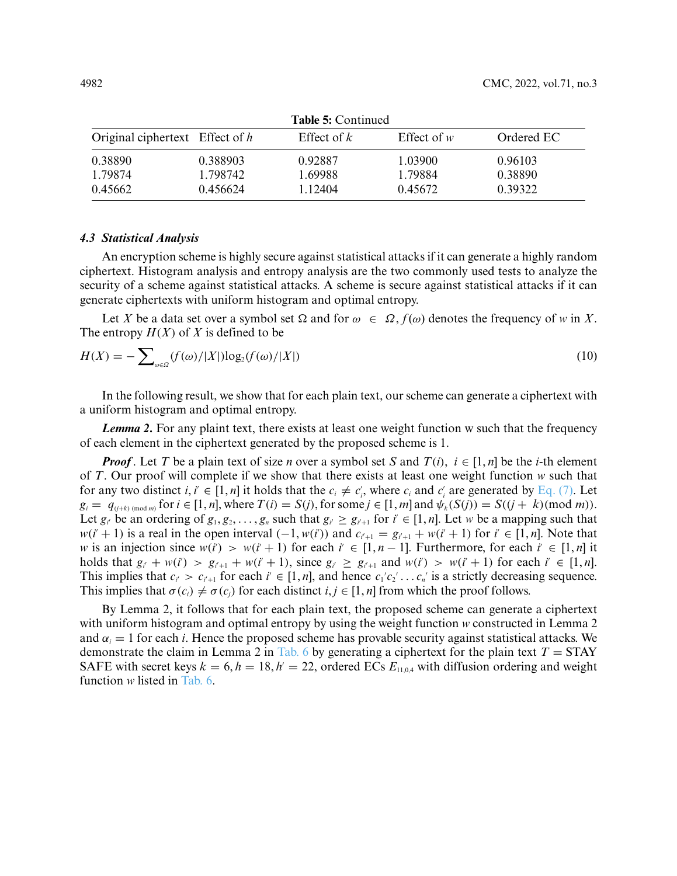| <b>Table 5: Continued</b>       |          |               |               |            |  |  |
|---------------------------------|----------|---------------|---------------|------------|--|--|
| Original ciphertext Effect of h |          | Effect of $k$ | Effect of $w$ | Ordered EC |  |  |
| 0.38890                         | 0.388903 | 0.92887       | 1.03900       | 0.96103    |  |  |
| 1.79874                         | 1.798742 | 1.69988       | 1.79884       | 0.38890    |  |  |
| 0.45662                         | 0.456624 | 1.12404       | 0.45672       | 0.39322    |  |  |

*4.3 Statistical Analysis*

An encryption scheme is highly secure against statistical attacks if it can generate a highly random ciphertext. Histogram analysis and entropy analysis are the two commonly used tests to analyze the security of a scheme against statistical attacks. A scheme is secure against statistical attacks if it can generate ciphertexts with uniform histogram and optimal entropy.

Let *X* be a data set over a symbol set  $\Omega$  and for  $\omega \in \Omega$ ,  $f(\omega)$  denotes the frequency of *w* in *X*. The entropy  $H(X)$  of X is defined to be

$$
H(X) = -\sum_{\omega \in \Omega} (f(\omega)/|X|) \log_2(f(\omega)/|X|)
$$
\n(10)

In the following result, we show that for each plain text, our scheme can generate a ciphertext with a uniform histogram and optimal entropy.

*Lemma 2***.** For any plaint text, there exists at least one weight function w such that the frequency of each element in the ciphertext generated by the proposed scheme is 1.

*Proof*. Let *T* be a plain text of size *n* over a symbol set *S* and  $T(i)$ ,  $i \in [1, n]$  be the *i*-th element of *T*. Our proof will complete if we show that there exists at least one weight function *w* such that for any two distinct  $i, i' \in [1, n]$  it holds that the  $c_i \neq c'_i$ , where  $c_i$  and  $c'_i$  are generated by [Eq. \(7\).](#page-4-0) Let  $g_i = q_{(j+k) \pmod{m}}$  for  $i \in [1, n]$ , where  $T(i) = S(j)$ , for some  $j \in [1, m]$  and  $\psi_k(S(j)) = S((j+k)(\text{mod }m))$ . Let  $g_i$  be an ordering of  $g_1, g_2, \ldots, g_n$  such that  $g_i \geq g_{i'+1}$  for  $i' \in [1, n]$ . Let w be a mapping such that  $w(i'+1)$  is a real in the open interval  $(-1, w(i'))$  and  $c_{i'+1} = g_{i'+1} + w(i'+1)$  for  $i' \in [1, n]$ . Note that *w* is an injection since  $w(i') > w(i+1)$  for each  $i' \in [1, n-1]$ . Furthermore, for each  $i' \in [1, n]$  it holds that  $g_{i'} + w(i') > g_{i+1} + w(i'+1)$ , since  $g_{i'} \ge g_{i+1}$  and  $w(i') > w(i'+1)$  for each  $i' \in [1,n]$ . This implies that  $c_i > c_{i+1}$  for each  $i \in [1, n]$ , and hence  $c_1'c_2' \ldots c_n'$  is a strictly decreasing sequence. This implies that  $\sigma(c_i) \neq \sigma(c_i)$  for each distinct  $i, j \in [1, n]$  from which the proof follows.

By Lemma 2, it follows that for each plain text, the proposed scheme can generate a ciphertext with uniform histogram and optimal entropy by using the weight function *w* constructed in Lemma 2 and  $\alpha_i = 1$  for each *i*. Hence the proposed scheme has provable security against statistical attacks. We demonstrate the claim in Lemma 2 in [Tab. 6](#page-12-0) by generating a ciphertext for the plain text  $T = \text{STAY}$ SAFE with secret keys  $k = 6, h = 18, h' = 22$ , ordered ECs  $E_{11,0,4}$  with diffusion ordering and weight function *w* listed in [Tab. 6.](#page-12-0)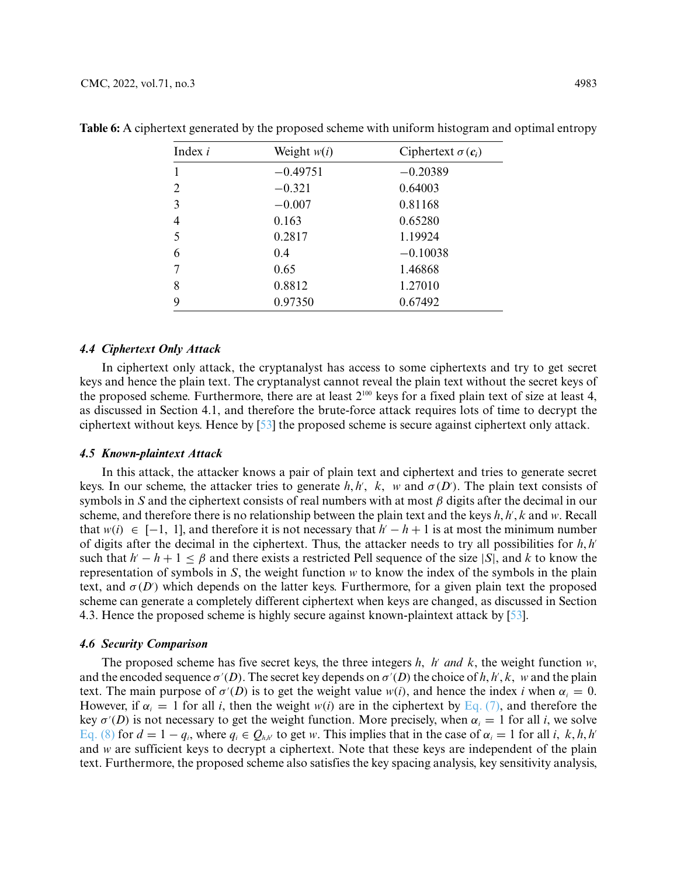| Index $i$      | Weight $w(i)$ | Ciphertext $\sigma(c_i)$ |
|----------------|---------------|--------------------------|
|                | $-0.49751$    | $-0.20389$               |
| $\overline{2}$ | $-0.321$      | 0.64003                  |
| 3              | $-0.007$      | 0.81168                  |
| 4              | 0.163         | 0.65280                  |
| 5              | 0.2817        | 1.19924                  |
| 6              | 0.4           | $-0.10038$               |
| 7              | 0.65          | 1.46868                  |
| 8              | 0.8812        | 1.27010                  |
| 9              | 0.97350       | 0.67492                  |

<span id="page-12-0"></span>**Table 6:** A ciphertext generated by the proposed scheme with uniform histogram and optimal entropy

### *4.4 Ciphertext Only Attack*

In ciphertext only attack, the cryptanalyst has access to some ciphertexts and try to get secret keys and hence the plain text. The cryptanalyst cannot reveal the plain text without the secret keys of the proposed scheme. Furthermore, there are at least  $2^{100}$  keys for a fixed plain text of size at least 4, as discussed in Section 4.1, and therefore the brute-force attack requires lots of time to decrypt the ciphertext without keys. Hence by [\[53\]](#page-16-7) the proposed scheme is secure against ciphertext only attack.

### *4.5 Known-plaintext Attack*

In this attack, the attacker knows a pair of plain text and ciphertext and tries to generate secret keys. In our scheme, the attacker tries to generate  $h, h', k, w$  and  $\sigma(D')$ . The plain text consists of symbols in *S* and the ciphertext consists of real numbers with at most *β* digits after the decimal in our scheme, and therefore there is no relationship between the plain text and the keys *h*, *h*<sup>*'*</sup>, *k* and *w*. Recall that  $w(i)$  ∈ [−1, 1], and therefore it is not necessary that  $h' - h + 1$  is at most the minimum number of digits after the decimal in the ciphertext. Thus, the attacker needs to try all possibilities for *h*, *h* such that  $h' - h + 1 \leq \beta$  and there exists a restricted Pell sequence of the size |*S*|, and *k* to know the representation of symbols in *S*, the weight function *w* to know the index of the symbols in the plain text, and  $\sigma(D')$  which depends on the latter keys. Furthermore, for a given plain text the proposed scheme can generate a completely different ciphertext when keys are changed, as discussed in Section 4.3. Hence the proposed scheme is highly secure against known-plaintext attack by [\[53\]](#page-16-7).

### *4.6 Security Comparison*

The proposed scheme has five secret keys, the three integers *h*, *h'* and *k*, the weight function *w*, and the encoded sequence  $\sigma'(D)$ . The secret key depends on  $\sigma'(D)$  the choice of *h*, *h*', *k*, *w* and the plain text. The main purpose of  $\sigma'(D)$  is to get the weight value  $w(i)$ , and hence the index *i* when  $\alpha_i = 0$ . However, if  $\alpha_i = 1$  for all *i*, then the weight  $w(i)$  are in the ciphertext by [Eq. \(7\),](#page-4-0) and therefore the key  $\sigma'(D)$  is not necessary to get the weight function. More precisely, when  $\alpha_i = 1$  for all *i*, we solve [Eq. \(8\)](#page-5-0) for  $d = 1 - q_i$ , where  $q_i \in Q_{h,h'}$  to get *w*. This implies that in the case of  $\alpha_i = 1$  for all *i*, *k*, *h*, *h'* and *w* are sufficient keys to decrypt a ciphertext. Note that these keys are independent of the plain text. Furthermore, the proposed scheme also satisfies the key spacing analysis, key sensitivity analysis,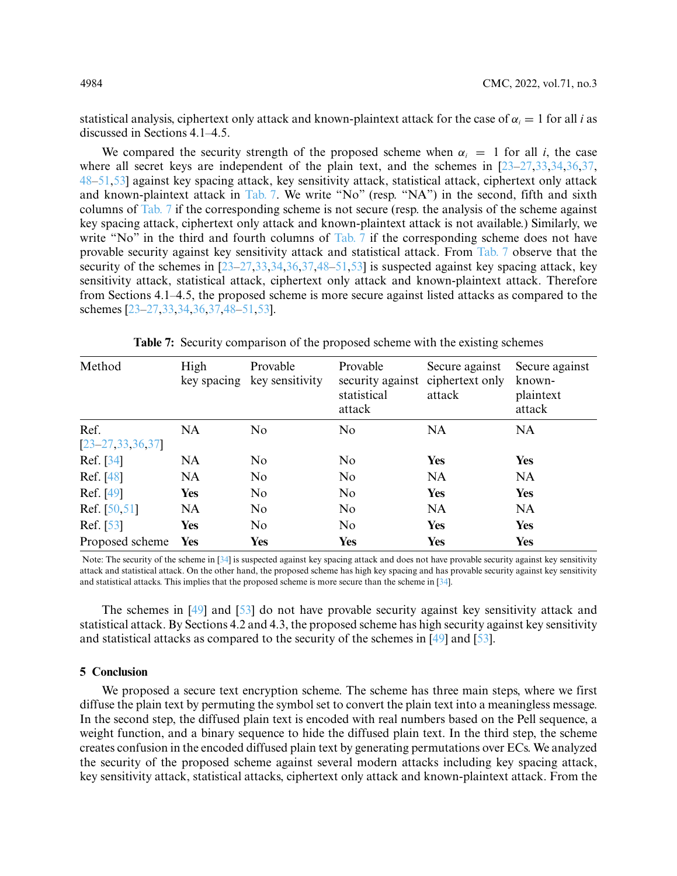statistical analysis, ciphertext only attack and known-plaintext attack for the case of  $\alpha_i = 1$  for all *i* as discussed in Sections 4.1–4.5.

We compared the security strength of the proposed scheme when  $\alpha_i = 1$  for all *i*, the case where all secret keys are independent of the plain text, and the schemes in  $[23-27,33,34,36,37]$  $[23-27,33,34,36,37]$  $[23-27,33,34,36,37]$  $[23-27,33,34,36,37]$  $[23-27,33,34,36,37]$  $[23-27,33,34,36,37]$ [48–](#page-16-6)[51,](#page-16-11)[53\]](#page-16-7) against key spacing attack, key sensitivity attack, statistical attack, ciphertext only attack and known-plaintext attack in [Tab. 7.](#page-13-0) We write "No" (resp. "NA") in the second, fifth and sixth columns of [Tab. 7](#page-13-0) if the corresponding scheme is not secure (resp. the analysis of the scheme against key spacing attack, ciphertext only attack and known-plaintext attack is not available.) Similarly, we write "No" in the third and fourth columns of [Tab. 7](#page-13-0) if the corresponding scheme does not have provable security against key sensitivity attack and statistical attack. From [Tab. 7](#page-13-0) observe that the security of the schemes in [\[23](#page-15-4)[–27,](#page-15-8)[33,](#page-15-12)[34,](#page-16-0)[36,](#page-16-1)[37,](#page-16-2)[48–](#page-16-6)[51](#page-16-11)[,53\]](#page-16-7) is suspected against key spacing attack, key sensitivity attack, statistical attack, ciphertext only attack and known-plaintext attack. Therefore from Sections 4.1–4.5, the proposed scheme is more secure against listed attacks as compared to the schemes [\[23](#page-15-4)[–27](#page-15-8)[,33](#page-15-12)[,34](#page-16-0)[,36](#page-16-1)[,37](#page-16-2)[,48](#page-16-6)[–51,](#page-16-11)[53\]](#page-16-7).

<span id="page-13-0"></span>

| Method                          | High<br>key spacing | Provable<br>key sensitivity | Provable<br>security against<br>statistical<br>attack | Secure against<br>ciphertext only<br>attack | Secure against<br>known-<br>plaintext<br>attack |
|---------------------------------|---------------------|-----------------------------|-------------------------------------------------------|---------------------------------------------|-------------------------------------------------|
| Ref.<br>$[23 - 27, 33, 36, 37]$ | <b>NA</b>           | N <sub>o</sub>              | N <sub>0</sub>                                        | <b>NA</b>                                   | <b>NA</b>                                       |
| Ref. [34]                       | <b>NA</b>           | No                          | N <sub>o</sub>                                        | <b>Yes</b>                                  | Yes                                             |
| Ref. [48]                       | <b>NA</b>           | No                          | N <sub>o</sub>                                        | <b>NA</b>                                   | <b>NA</b>                                       |
| Ref. [49]                       | <b>Yes</b>          | N <sub>o</sub>              | N <sub>o</sub>                                        | <b>Yes</b>                                  | Yes                                             |
| Ref. $[50, 51]$                 | <b>NA</b>           | N <sub>o</sub>              | N <sub>o</sub>                                        | <b>NA</b>                                   | <b>NA</b>                                       |
| Ref. [53]                       | <b>Yes</b>          | N <sub>o</sub>              | N <sub>o</sub>                                        | <b>Yes</b>                                  | Yes                                             |
| Proposed scheme                 | Yes                 | <b>Yes</b>                  | <b>Yes</b>                                            | <b>Yes</b>                                  | Yes                                             |

**Table 7:** Security comparison of the proposed scheme with the existing schemes

Note: The security of the scheme in [\[34\]](#page-16-0) is suspected against key spacing attack and does not have provable security against key sensitivity attack and statistical attack. On the other hand, the proposed scheme has high key spacing and has provable security against key sensitivity and statistical attacks. This implies that the proposed scheme is more secure than the scheme in [\[34\]](#page-16-0).

The schemes in [\[49\]](#page-16-9) and [\[53\]](#page-16-7) do not have provable security against key sensitivity attack and statistical attack. By Sections 4.2 and 4.3, the proposed scheme has high security against key sensitivity and statistical attacks as compared to the security of the schemes in [\[49\]](#page-16-9) and [\[53\]](#page-16-7).

### **5 Conclusion**

We proposed a secure text encryption scheme. The scheme has three main steps, where we first diffuse the plain text by permuting the symbol set to convert the plain text into a meaningless message. In the second step, the diffused plain text is encoded with real numbers based on the Pell sequence, a weight function, and a binary sequence to hide the diffused plain text. In the third step, the scheme creates confusion in the encoded diffused plain text by generating permutations over ECs. We analyzed the security of the proposed scheme against several modern attacks including key spacing attack, key sensitivity attack, statistical attacks, ciphertext only attack and known-plaintext attack. From the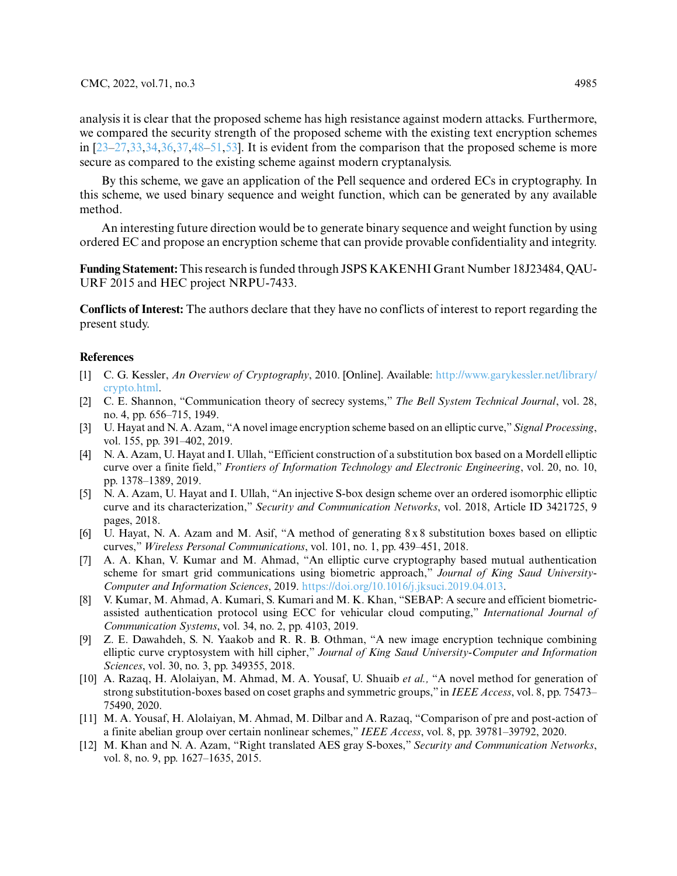analysis it is clear that the proposed scheme has high resistance against modern attacks. Furthermore, we compared the security strength of the proposed scheme with the existing text encryption schemes in  $[23-27,33,34,36,37,48-51,53]$  $[23-27,33,34,36,37,48-51,53]$  $[23-27,33,34,36,37,48-51,53]$  $[23-27,33,34,36,37,48-51,53]$  $[23-27,33,34,36,37,48-51,53]$  $[23-27,33,34,36,37,48-51,53]$  $[23-27,33,34,36,37,48-51,53]$  $[23-27,33,34,36,37,48-51,53]$  $[23-27,33,34,36,37,48-51,53]$ . It is evident from the comparison that the proposed scheme is more secure as compared to the existing scheme against modern cryptanalysis.

By this scheme, we gave an application of the Pell sequence and ordered ECs in cryptography. In this scheme, we used binary sequence and weight function, which can be generated by any available method.

An interesting future direction would be to generate binary sequence and weight function by using ordered EC and propose an encryption scheme that can provide provable confidentiality and integrity.

**Funding Statement:** This research is funded through JSPS KAKENHI Grant Number 18J23484, QAU-URF 2015 and HEC project NRPU-7433.

**Conflicts of Interest:** The authors declare that they have no conflicts of interest to report regarding the present study.

### **References**

- <span id="page-14-0"></span>[1] C. G. Kessler, *An Overview of Cryptography*, 2010. [Online]. Available: [http://www.garykessler.net/library/](http://www. garykessler. net/library/crypto. html) [crypto.html.](http://www. garykessler. net/library/crypto. html)
- <span id="page-14-1"></span>[2] C. E. Shannon, "Communication theory of secrecy systems," *The Bell System Technical Journal*, vol. 28, no. 4, pp. 656–715, 1949.
- <span id="page-14-2"></span>[3] U. Hayat and N. A. Azam, "A novel image encryption scheme based on an elliptic curve,"*Signal Processing*, vol. 155, pp. 391–402, 2019.
- <span id="page-14-5"></span>[4] N. A. Azam, U. Hayat and I. Ullah, "Efficient construction of a substitution box based on a Mordell elliptic curve over a finite field," *Frontiers of Information Technology and Electronic Engineering*, vol. 20, no. 10, pp. 1378–1389, 2019.
- <span id="page-14-6"></span>[5] N. A. Azam, U. Hayat and I. Ullah, "An injective S-box design scheme over an ordered isomorphic elliptic curve and its characterization," *Security and Communication Networks*, vol. 2018, Article ID 3421725, 9 pages, 2018.
- [6] U. Hayat, N. A. Azam and M. Asif, "A method of generating 8 x 8 substitution boxes based on elliptic curves," *Wireless Personal Communications*, vol. 101, no. 1, pp. 439–451, 2018.
- [7] A. A. Khan, V. Kumar and M. Ahmad, "An elliptic curve cryptography based mutual authentication scheme for smart grid communications using biometric approach," *Journal of King Saud University-Computer and Information Sciences*, 2019. [https://doi.org/10.1016/j.jksuci.2019.04.013.](https://doi.org/10.1016/j.jksuci.2019.04.013)
- [8] V. Kumar, M. Ahmad, A. Kumari, S. Kumari and M. K. Khan, "SEBAP: A secure and efficient biometricassisted authentication protocol using ECC for vehicular cloud computing," *International Journal of Communication Systems*, vol. 34, no. 2, pp. 4103, 2019.
- <span id="page-14-3"></span>[9] Z. E. Dawahdeh, S. N. Yaakob and R. R. B. Othman, "A new image encryption technique combining elliptic curve cryptosystem with hill cipher," *Journal of King Saud University-Computer and Information Sciences*, vol. 30, no. 3, pp. 349355, 2018.
- <span id="page-14-4"></span>[10] A. Razaq, H. Alolaiyan, M. Ahmad, M. A. Yousaf, U. Shuaib *et al.,* "A novel method for generation of strong substitution-boxes based on coset graphs and symmetric groups," in *IEEE Access*, vol. 8, pp. 75473– 75490, 2020.
- [11] M. A. Yousaf, H. Alolaiyan, M. Ahmad, M. Dilbar and A. Razaq, "Comparison of pre and post-action of a finite abelian group over certain nonlinear schemes," *IEEE Access*, vol. 8, pp. 39781–39792, 2020.
- [12] M. Khan and N. A. Azam, "Right translated AES gray S-boxes," *Security and Communication Networks*, vol. 8, no. 9, pp. 1627–1635, 2015.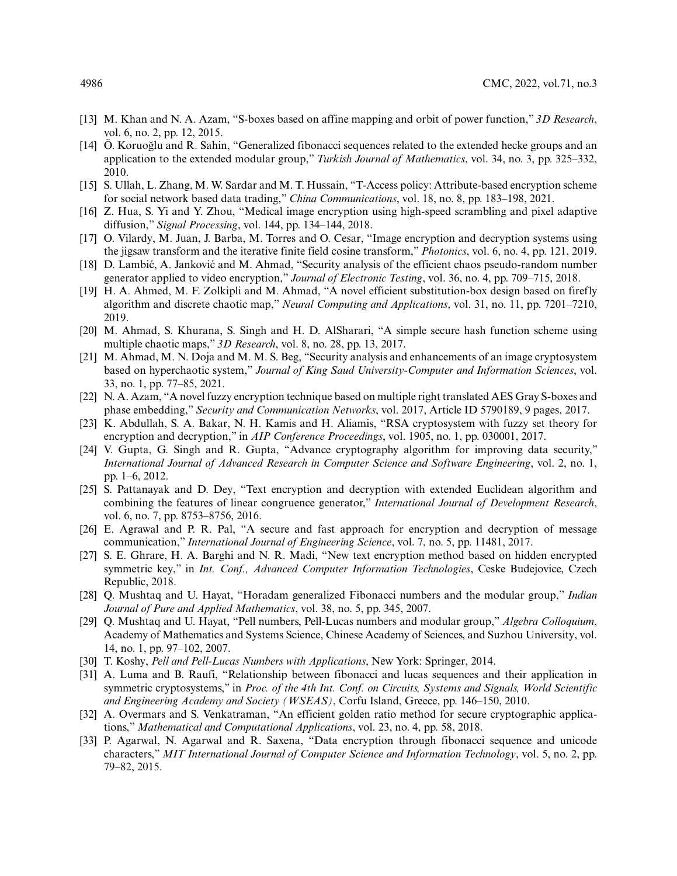- [13] M. Khan and N. A. Azam, "S-boxes based on affine mapping and orbit of power function," *3D Research*, vol. 6, no. 2, pp. 12, 2015.
- [14] Ö. Koruoglu and R. Sahin, "Generalized fibonacci sequences related to the extended hecke groups and an ˘ application to the extended modular group," *Turkish Journal of Mathematics*, vol. 34, no. 3, pp. 325–332, 2010.
- <span id="page-15-0"></span>[15] S. Ullah, L. Zhang, M. W. Sardar and M. T. Hussain, "T-Access policy: Attribute-based encryption scheme for social network based data trading," *China Communications*, vol. 18, no. 8, pp. 183–198, 2021.
- <span id="page-15-1"></span>[16] Z. Hua, S. Yi and Y. Zhou, "Medical image encryption using high-speed scrambling and pixel adaptive diffusion," *Signal Processing*, vol. 144, pp. 134–144, 2018.
- [17] O. Vilardy, M. Juan, J. Barba, M. Torres and O. Cesar, "Image encryption and decryption systems using the jigsaw transform and the iterative finite field cosine transform," *Photonics*, vol. 6, no. 4, pp. 121, 2019.
- [18] D. Lambić, A. Janković and M. Ahmad, "Security analysis of the efficient chaos pseudo-random number generator applied to video encryption," *Journal of Electronic Testing*, vol. 36, no. 4, pp. 709–715, 2018.
- [19] H. A. Ahmed, M. F. Zolkipli and M. Ahmad, "A novel efficient substitution-box design based on firefly algorithm and discrete chaotic map," *Neural Computing and Applications*, vol. 31, no. 11, pp. 7201–7210, 2019.
- [20] M. Ahmad, S. Khurana, S. Singh and H. D. AlSharari, "A simple secure hash function scheme using multiple chaotic maps," *3D Research*, vol. 8, no. 28, pp. 13, 2017.
- <span id="page-15-2"></span>[21] M. Ahmad, M. N. Doja and M. M. S. Beg, "Security analysis and enhancements of an image cryptosystem based on hyperchaotic system," *Journal of King Saud University-Computer and Information Sciences*, vol. 33, no. 1, pp. 77–85, 2021.
- <span id="page-15-3"></span>[22] N. A. Azam, "A novel fuzzy encryption technique based on multiple right translated AES Gray S-boxes and phase embedding," *Security and Communication Networks*, vol. 2017, Article ID 5790189, 9 pages, 2017.
- <span id="page-15-4"></span>[23] K. Abdullah, S. A. Bakar, N. H. Kamis and H. Aliamis, "RSA cryptosystem with fuzzy set theory for encryption and decryption," in *AIP Conference Proceedings*, vol. 1905, no. 1, pp. 030001, 2017.
- <span id="page-15-5"></span>[24] V. Gupta, G. Singh and R. Gupta, "Advance cryptography algorithm for improving data security," *International Journal of Advanced Research in Computer Science and Software Engineering*, vol. 2, no. 1, pp. 1–6, 2012.
- <span id="page-15-6"></span>[25] S. Pattanayak and D. Dey, "Text encryption and decryption with extended Euclidean algorithm and combining the features of linear congruence generator," *International Journal of Development Research*, vol. 6, no. 7, pp. 8753–8756, 2016.
- <span id="page-15-7"></span>[26] E. Agrawal and P. R. Pal, "A secure and fast approach for encryption and decryption of message communication," *International Journal of Engineering Science*, vol. 7, no. 5, pp. 11481, 2017.
- <span id="page-15-8"></span>[27] S. E. Ghrare, H. A. Barghi and N. R. Madi, "New text encryption method based on hidden encrypted symmetric key," in *Int. Conf., Advanced Computer Information Technologies*, Ceske Budejovice, Czech Republic, 2018.
- <span id="page-15-9"></span>[28] Q. Mushtaq and U. Hayat, "Horadam generalized Fibonacci numbers and the modular group," *Indian Journal of Pure and Applied Mathematics*, vol. 38, no. 5, pp. 345, 2007.
- [29] Q. Mushtaq and U. Hayat, "Pell numbers, Pell-Lucas numbers and modular group," *Algebra Colloquium*, Academy of Mathematics and Systems Science, Chinese Academy of Sciences, and Suzhou University, vol. 14, no. 1, pp. 97–102, 2007.
- <span id="page-15-10"></span>[30] T. Koshy, *Pell and Pell-Lucas Numbers with Applications*, New York: Springer, 2014.
- <span id="page-15-11"></span>[31] A. Luma and B. Raufi, "Relationship between fibonacci and lucas sequences and their application in symmetric cryptosystems," in *Proc. of the 4th Int. Conf. on Circuits, Systems and Signals, World Scientific and Engineering Academy and Society (WSEAS)*, Corfu Island, Greece, pp. 146–150, 2010.
- <span id="page-15-13"></span>[32] A. Overmars and S. Venkatraman, "An efficient golden ratio method for secure cryptographic applications," *Mathematical and Computational Applications*, vol. 23, no. 4, pp. 58, 2018.
- <span id="page-15-12"></span>[33] P. Agarwal, N. Agarwal and R. Saxena, "Data encryption through fibonacci sequence and unicode characters," *MIT International Journal of Computer Science and Information Technology*, vol. 5, no. 2, pp. 79–82, 2015.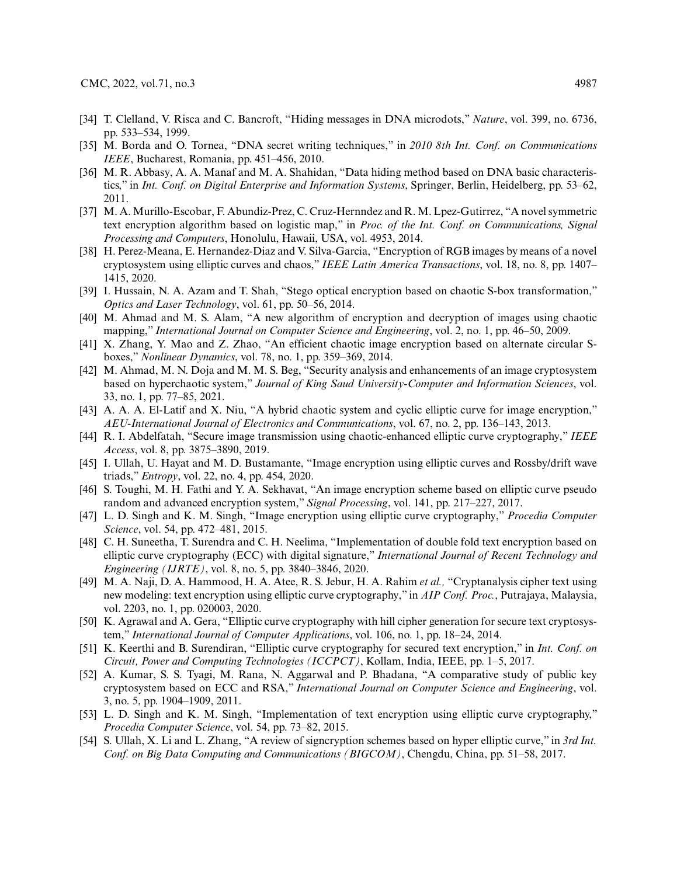- <span id="page-16-0"></span>[34] T. Clelland, V. Risca and C. Bancroft, "Hiding messages in DNA microdots," *Nature*, vol. 399, no. 6736, pp. 533–534, 1999.
- [35] M. Borda and O. Tornea, "DNA secret writing techniques," in *2010 8th Int. Conf. on Communications IEEE*, Bucharest, Romania, pp. 451–456, 2010.
- <span id="page-16-1"></span>[36] M. R. Abbasy, A. A. Manaf and M. A. Shahidan, "Data hiding method based on DNA basic characteristics," in *Int. Conf. on Digital Enterprise and Information Systems*, Springer, Berlin, Heidelberg, pp. 53–62, 2011.
- <span id="page-16-2"></span>[37] M. A. Murillo-Escobar, F. Abundiz-Prez, C. Cruz-Hernndez and R. M. Lpez-Gutirrez, "A novel symmetric text encryption algorithm based on logistic map," in *Proc. of the Int. Conf. on Communications, Signal Processing and Computers*, Honolulu, Hawaii, USA, vol. 4953, 2014.
- [38] H. Perez-Meana, E. Hernandez-Diaz and V. Silva-Garcia, "Encryption of RGB images by means of a novel cryptosystem using elliptic curves and chaos," *IEEE Latin America Transactions*, vol. 18, no. 8, pp. 1407– 1415, 2020.
- [39] I. Hussain, N. A. Azam and T. Shah, "Stego optical encryption based on chaotic S-box transformation," *Optics and Laser Technology*, vol. 61, pp. 50–56, 2014.
- [40] M. Ahmad and M. S. Alam, "A new algorithm of encryption and decryption of images using chaotic mapping," *International Journal on Computer Science and Engineering*, vol. 2, no. 1, pp. 46–50, 2009.
- [41] X. Zhang, Y. Mao and Z. Zhao, "An efficient chaotic image encryption based on alternate circular Sboxes," *Nonlinear Dynamics*, vol. 78, no. 1, pp. 359–369, 2014.
- <span id="page-16-3"></span>[42] M. Ahmad, M. N. Doja and M. M. S. Beg, "Security analysis and enhancements of an image cryptosystem based on hyperchaotic system," *Journal of King Saud University-Computer and Information Sciences*, vol. 33, no. 1, pp. 77–85, 2021.
- <span id="page-16-4"></span>[43] A. A. A. El-Latif and X. Niu, "A hybrid chaotic system and cyclic elliptic curve for image encryption," *AEU-International Journal of Electronics and Communications*, vol. 67, no. 2, pp. 136–143, 2013.
- [44] R. I. Abdelfatah, "Secure image transmission using chaotic-enhanced elliptic curve cryptography," *IEEE Access*, vol. 8, pp. 3875–3890, 2019.
- [45] I. Ullah, U. Hayat and M. D. Bustamante, "Image encryption using elliptic curves and Rossby/drift wave triads," *Entropy*, vol. 22, no. 4, pp. 454, 2020.
- [46] S. Toughi, M. H. Fathi and Y. A. Sekhavat, "An image encryption scheme based on elliptic curve pseudo random and advanced encryption system," *Signal Processing*, vol. 141, pp. 217–227, 2017.
- <span id="page-16-5"></span>[47] L. D. Singh and K. M. Singh, "Image encryption using elliptic curve cryptography," *Procedia Computer Science*, vol. 54, pp. 472–481, 2015.
- <span id="page-16-6"></span>[48] C. H. Suneetha, T. Surendra and C. H. Neelima, "Implementation of double fold text encryption based on elliptic curve cryptography (ECC) with digital signature," *International Journal of Recent Technology and Engineering (IJRTE)*, vol. 8, no. 5, pp. 3840–3846, 2020.
- <span id="page-16-9"></span>[49] M. A. Naji, D. A. Hammood, H. A. Atee, R. S. Jebur, H. A. Rahim *et al.,* "Cryptanalysis cipher text using new modeling: text encryption using elliptic curve cryptography," in *AIP Conf. Proc.*, Putrajaya, Malaysia, vol. 2203, no. 1, pp. 020003, 2020.
- <span id="page-16-10"></span>[50] K. Agrawal and A. Gera, "Elliptic curve cryptography with hill cipher generation for secure text cryptosystem," *International Journal of Computer Applications*, vol. 106, no. 1, pp. 18–24, 2014.
- <span id="page-16-11"></span>[51] K. Keerthi and B. Surendiran, "Elliptic curve cryptography for secured text encryption," in *Int. Conf. on Circuit, Power and Computing Technologies (ICCPCT)*, Kollam, India, IEEE, pp. 1–5, 2017.
- <span id="page-16-12"></span>[52] A. Kumar, S. S. Tyagi, M. Rana, N. Aggarwal and P. Bhadana, "A comparative study of public key cryptosystem based on ECC and RSA," *International Journal on Computer Science and Engineering*, vol. 3, no. 5, pp. 1904–1909, 2011.
- <span id="page-16-7"></span>[53] L. D. Singh and K. M. Singh, "Implementation of text encryption using elliptic curve cryptography," *Procedia Computer Science*, vol. 54, pp. 73–82, 2015.
- <span id="page-16-8"></span>[54] S. Ullah, X. Li and L. Zhang, "A review of signcryption schemes based on hyper elliptic curve," in *3rd Int. Conf. on Big Data Computing and Communications (BIGCOM)*, Chengdu, China, pp. 51–58, 2017.